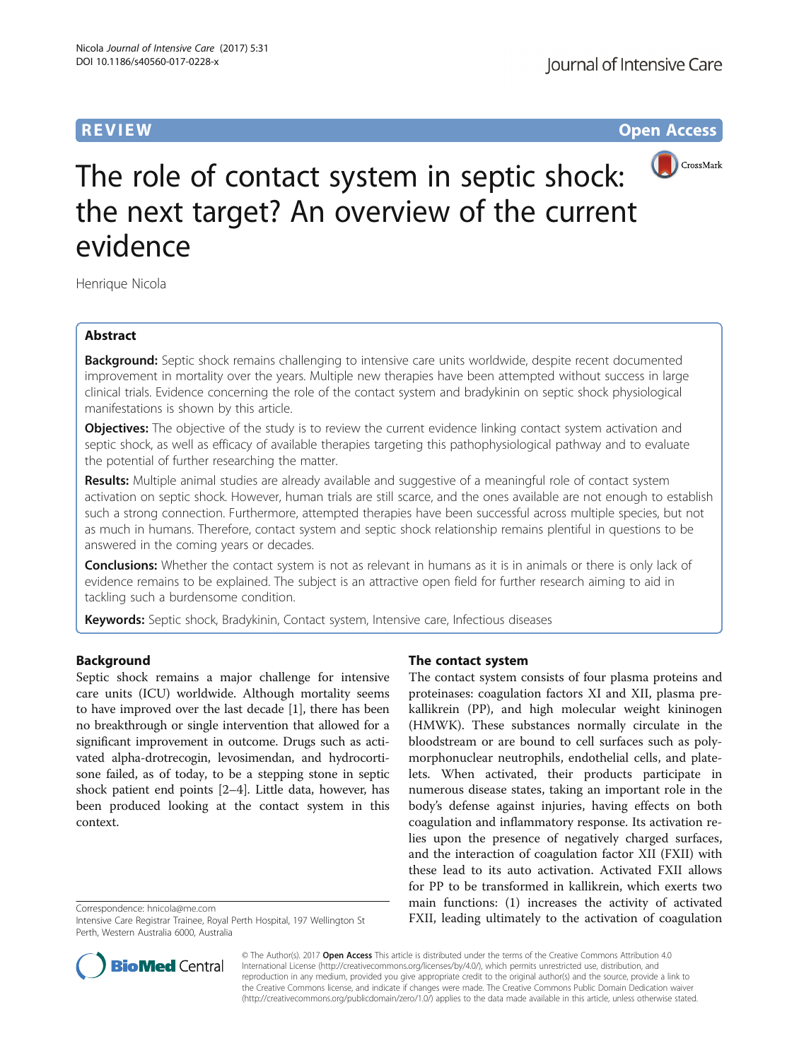# **REVIEW CONSTRUCTION CONSTRUCTION CONSTRUCTS**



# The role of contact system in septic shock: the next target? An overview of the current evidence

Henrique Nicola

# Abstract

Background: Septic shock remains challenging to intensive care units worldwide, despite recent documented improvement in mortality over the years. Multiple new therapies have been attempted without success in large clinical trials. Evidence concerning the role of the contact system and bradykinin on septic shock physiological manifestations is shown by this article.

**Objectives:** The objective of the study is to review the current evidence linking contact system activation and septic shock, as well as efficacy of available therapies targeting this pathophysiological pathway and to evaluate the potential of further researching the matter.

Results: Multiple animal studies are already available and suggestive of a meaningful role of contact system activation on septic shock. However, human trials are still scarce, and the ones available are not enough to establish such a strong connection. Furthermore, attempted therapies have been successful across multiple species, but not as much in humans. Therefore, contact system and septic shock relationship remains plentiful in questions to be answered in the coming years or decades.

**Conclusions:** Whether the contact system is not as relevant in humans as it is in animals or there is only lack of evidence remains to be explained. The subject is an attractive open field for further research aiming to aid in tackling such a burdensome condition.

Keywords: Septic shock, Bradykinin, Contact system, Intensive care, Infectious diseases

## Background

Septic shock remains a major challenge for intensive care units (ICU) worldwide. Although mortality seems to have improved over the last decade [\[1\]](#page-4-0), there has been no breakthrough or single intervention that allowed for a significant improvement in outcome. Drugs such as activated alpha-drotrecogin, levosimendan, and hydrocortisone failed, as of today, to be a stepping stone in septic shock patient end points [[2](#page-4-0)–[4](#page-4-0)]. Little data, however, has been produced looking at the contact system in this context.

# The contact system

The contact system consists of four plasma proteins and proteinases: coagulation factors XI and XII, plasma prekallikrein (PP), and high molecular weight kininogen (HMWK). These substances normally circulate in the bloodstream or are bound to cell surfaces such as polymorphonuclear neutrophils, endothelial cells, and platelets. When activated, their products participate in numerous disease states, taking an important role in the body's defense against injuries, having effects on both coagulation and inflammatory response. Its activation relies upon the presence of negatively charged surfaces, and the interaction of coagulation factor XII (FXII) with these lead to its auto activation. Activated FXII allows for PP to be transformed in kallikrein, which exerts two main functions: (1) increases the activity of activated FXII, leading ultimately to the activation of coagulation Correspondence: [hnicola@me.com](mailto:hnicola@me.com)



© The Author(s). 2017 **Open Access** This article is distributed under the terms of the Creative Commons Attribution 4.0 International License [\(http://creativecommons.org/licenses/by/4.0/](http://creativecommons.org/licenses/by/4.0/)), which permits unrestricted use, distribution, and reproduction in any medium, provided you give appropriate credit to the original author(s) and the source, provide a link to the Creative Commons license, and indicate if changes were made. The Creative Commons Public Domain Dedication waiver [\(http://creativecommons.org/publicdomain/zero/1.0/](http://creativecommons.org/publicdomain/zero/1.0/)) applies to the data made available in this article, unless otherwise stated.

Intensive Care Registrar Trainee, Royal Perth Hospital, 197 Wellington St Perth, Western Australia 6000, Australia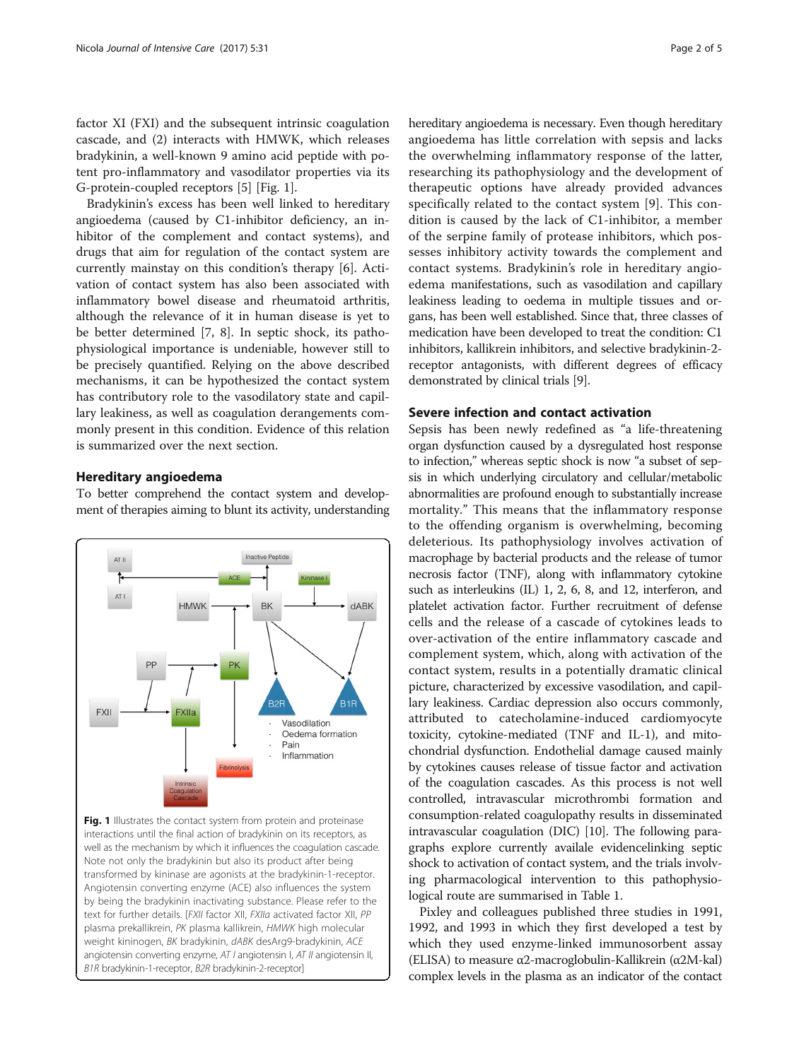factor XI (FXI) and the subsequent intrinsic coagulation cascade, and (2) interacts with HMWK, which releases bradykinin, a well-known 9 amino acid peptide with potent pro-inflammatory and vasodilator properties via its G-protein-coupled receptors [[5\]](#page-4-0) [Fig. 1].

Bradykinin's excess has been well linked to hereditary angioedema (caused by C1-inhibitor deficiency, an inhibitor of the complement and contact systems), and drugs that aim for regulation of the contact system are currently mainstay on this condition's therapy [[6\]](#page-4-0). Activation of contact system has also been associated with inflammatory bowel disease and rheumatoid arthritis, although the relevance of it in human disease is yet to be better determined [[7, 8](#page-4-0)]. In septic shock, its pathophysiological importance is undeniable, however still to be precisely quantified. Relying on the above described mechanisms, it can be hypothesized the contact system has contributory role to the vasodilatory state and capillary leakiness, as well as coagulation derangements commonly present in this condition. Evidence of this relation is summarized over the next section.

#### Hereditary angioedema

To better comprehend the contact system and development of therapies aiming to blunt its activity, understanding



Fig. 1 Illustrates the contact system from protein and proteinase interactions until the final action of bradykinin on its receptors, as well as the mechanism by which it influences the coagulation cascade. Note not only the bradykinin but also its product after being transformed by kininase are agonists at the bradykinin-1-receptor. Angiotensin converting enzyme (ACE) also influences the system by being the bradykinin inactivating substance. Please refer to the text for further details. [FXII factor XII, FXIIa activated factor XII, PP plasma prekallikrein, PK plasma kallikrein, HMWK high molecular weight kininogen, BK bradykinin, dABK desArg9-bradykinin, ACE angiotensin converting enzyme, AT I angiotensin I, AT II angiotensin II, B1R bradykinin-1-receptor, B2R bradykinin-2-receptor]

hereditary angioedema is necessary. Even though hereditary angioedema has little correlation with sepsis and lacks the overwhelming inflammatory response of the latter, researching its pathophysiology and the development of therapeutic options have already provided advances specifically related to the contact system [[9\]](#page-4-0). This condition is caused by the lack of C1-inhibitor, a member of the serpine family of protease inhibitors, which possesses inhibitory activity towards the complement and contact systems. Bradykinin's role in hereditary angioedema manifestations, such as vasodilation and capillary leakiness leading to oedema in multiple tissues and organs, has been well established. Since that, three classes of medication have been developed to treat the condition: C1 inhibitors, kallikrein inhibitors, and selective bradykinin-2 receptor antagonists, with different degrees of efficacy demonstrated by clinical trials [\[9](#page-4-0)].

### Severe infection and contact activation

Sepsis has been newly redefined as "a life-threatening organ dysfunction caused by a dysregulated host response to infection," whereas septic shock is now "a subset of sepsis in which underlying circulatory and cellular/metabolic abnormalities are profound enough to substantially increase mortality." This means that the inflammatory response to the offending organism is overwhelming, becoming deleterious. Its pathophysiology involves activation of macrophage by bacterial products and the release of tumor necrosis factor (TNF), along with inflammatory cytokine such as interleukins (IL) 1, 2, 6, 8, and 12, interferon, and platelet activation factor. Further recruitment of defense cells and the release of a cascade of cytokines leads to over-activation of the entire inflammatory cascade and complement system, which, along with activation of the contact system, results in a potentially dramatic clinical picture, characterized by excessive vasodilation, and capillary leakiness. Cardiac depression also occurs commonly, attributed to catecholamine-induced cardiomyocyte toxicity, cytokine-mediated (TNF and IL-1), and mitochondrial dysfunction. Endothelial damage caused mainly by cytokines causes release of tissue factor and activation of the coagulation cascades. As this process is not well controlled, intravascular microthrombi formation and consumption-related coagulopathy results in disseminated intravascular coagulation (DIC) [\[10\]](#page-4-0). The following paragraphs explore currently availale evidencelinking septic shock to activation of contact system, and the trials involving pharmacological intervention to this pathophysiological route are summarised in Table [1](#page-2-0).

Pixley and colleagues published three studies in 1991, 1992, and 1993 in which they first developed a test by which they used enzyme-linked immunosorbent assay (ELISA) to measure α2-macroglobulin-Kallikrein (α2M-kal) complex levels in the plasma as an indicator of the contact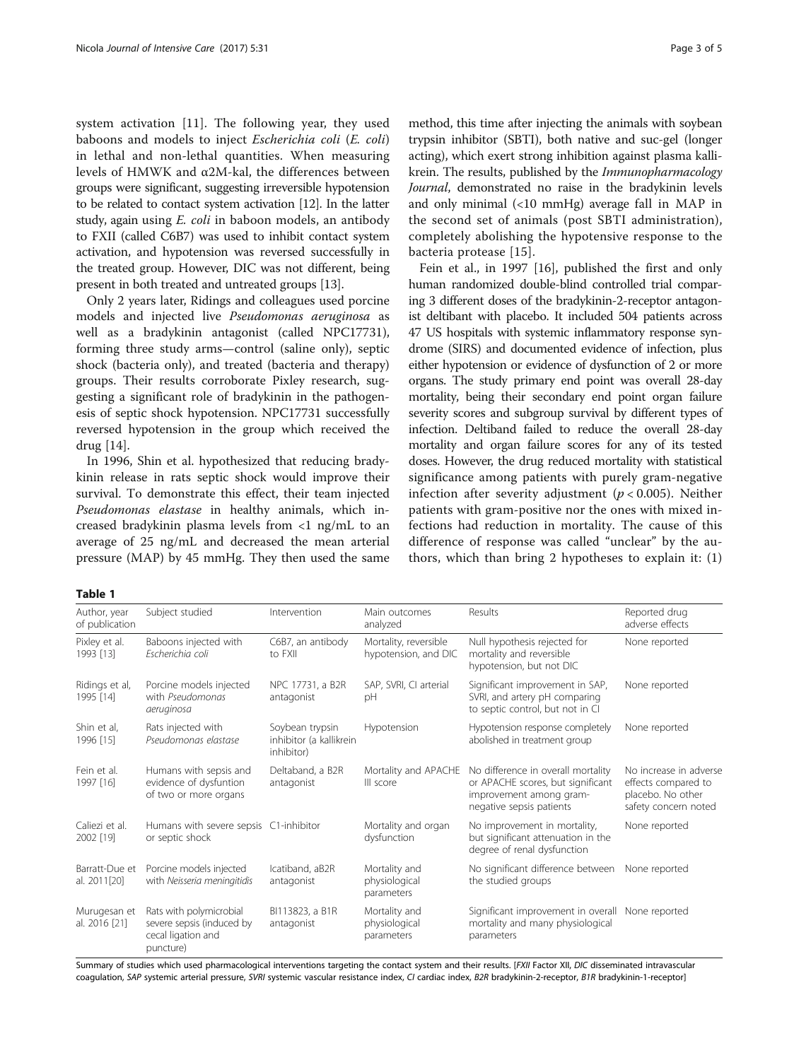<span id="page-2-0"></span>system activation [[11](#page-4-0)]. The following year, they used baboons and models to inject Escherichia coli (E. coli) in lethal and non-lethal quantities. When measuring levels of HMWK and α2M-kal, the differences between groups were significant, suggesting irreversible hypotension to be related to contact system activation [[12](#page-4-0)]. In the latter study, again using E. coli in baboon models, an antibody to FXII (called C6B7) was used to inhibit contact system activation, and hypotension was reversed successfully in the treated group. However, DIC was not different, being present in both treated and untreated groups [[13](#page-4-0)].

Only 2 years later, Ridings and colleagues used porcine models and injected live Pseudomonas aeruginosa as well as a bradykinin antagonist (called NPC17731), forming three study arms—control (saline only), septic shock (bacteria only), and treated (bacteria and therapy) groups. Their results corroborate Pixley research, suggesting a significant role of bradykinin in the pathogenesis of septic shock hypotension. NPC17731 successfully reversed hypotension in the group which received the drug [[14\]](#page-4-0).

In 1996, Shin et al. hypothesized that reducing bradykinin release in rats septic shock would improve their survival. To demonstrate this effect, their team injected Pseudomonas elastase in healthy animals, which increased bradykinin plasma levels from <1 ng/mL to an average of 25 ng/mL and decreased the mean arterial pressure (MAP) by 45 mmHg. They then used the same

method, this time after injecting the animals with soybean trypsin inhibitor (SBTI), both native and suc-gel (longer acting), which exert strong inhibition against plasma kallikrein. The results, published by the Immunopharmacology Journal, demonstrated no raise in the bradykinin levels and only minimal (<10 mmHg) average fall in MAP in the second set of animals (post SBTI administration), completely abolishing the hypotensive response to the bacteria protease [\[15\]](#page-4-0).

Fein et al., in 1997 [\[16\]](#page-4-0), published the first and only human randomized double-blind controlled trial comparing 3 different doses of the bradykinin-2-receptor antagonist deltibant with placebo. It included 504 patients across 47 US hospitals with systemic inflammatory response syndrome (SIRS) and documented evidence of infection, plus either hypotension or evidence of dysfunction of 2 or more organs. The study primary end point was overall 28-day mortality, being their secondary end point organ failure severity scores and subgroup survival by different types of infection. Deltiband failed to reduce the overall 28-day mortality and organ failure scores for any of its tested doses. However, the drug reduced mortality with statistical significance among patients with purely gram-negative infection after severity adjustment ( $p < 0.005$ ). Neither patients with gram-positive nor the ones with mixed infections had reduction in mortality. The cause of this difference of response was called "unclear" by the authors, which than bring 2 hypotheses to explain it: (1)

| . .<br>$\sim$<br>۰.<br>×<br>× |  |
|-------------------------------|--|
|-------------------------------|--|

| Author, year<br>of publication | Subject studied                                                                         | Intervention                                             | Main outcomes<br>analyzed                     | Results                                                                                                                        | Reported drug<br>adverse effects                                                           |
|--------------------------------|-----------------------------------------------------------------------------------------|----------------------------------------------------------|-----------------------------------------------|--------------------------------------------------------------------------------------------------------------------------------|--------------------------------------------------------------------------------------------|
| Pixley et al.<br>1993 [13]     | Baboons injected with<br>Escherichia coli                                               | C6B7, an antibody<br>to FXII                             | Mortality, reversible<br>hypotension, and DIC | Null hypothesis rejected for<br>mortality and reversible<br>hypotension, but not DIC                                           | None reported                                                                              |
| Ridings et al,<br>1995 [14]    | Porcine models injected<br>with Pseudomonas<br>aeruginosa                               | NPC 17731, a B2R<br>antagonist                           | SAP, SVRI, CI arterial<br>рH                  | Significant improvement in SAP,<br>SVRI, and artery pH comparing<br>to septic control, but not in CI                           | None reported                                                                              |
| Shin et al,<br>1996 [15]       | Rats injected with<br>Pseudomonas elastase                                              | Soybean trypsin<br>inhibitor (a kallikrein<br>inhibitor) | Hypotension                                   | Hypotension response completely<br>abolished in treatment group                                                                | None reported                                                                              |
| Fein et al.<br>1997 [16]       | Humans with sepsis and<br>evidence of dysfuntion<br>of two or more organs               | Deltaband, a B2R<br>antagonist                           | Mortality and APACHE<br>III score             | No difference in overall mortality<br>or APACHE scores, but significant<br>improvement among gram-<br>negative sepsis patients | No increase in adverse<br>effects compared to<br>placebo. No other<br>safety concern noted |
| Caliezi et al.<br>2002 [19]    | Humans with severe sepsis C1-inhibitor<br>or septic shock                               |                                                          | Mortality and organ<br>dysfunction            | No improvement in mortality,<br>but significant attenuation in the<br>degree of renal dysfunction                              | None reported                                                                              |
| Barratt-Due et<br>al. 2011[20] | Porcine models injected<br>with Neisseria meningitidis                                  | Icatiband, aB2R<br>antagonist                            | Mortality and<br>physiological<br>parameters  | No significant difference between<br>the studied groups                                                                        | None reported                                                                              |
| Murugesan et<br>al. 2016 [21]  | Rats with polymicrobial<br>severe sepsis (induced by<br>cecal ligation and<br>puncture) | BI113823, a B1R<br>antagonist                            | Mortality and<br>physiological<br>parameters  | Significant improvement in overall None reported<br>mortality and many physiological<br>parameters                             |                                                                                            |

Summary of studies which used pharmacological interventions targeting the contact system and their results. [FXII Factor XII, DIC disseminated intravascular coagulation, SAP systemic arterial pressure, SVRI systemic vascular resistance index, CI cardiac index, B2R bradykinin-2-receptor, B1R bradykinin-1-receptor]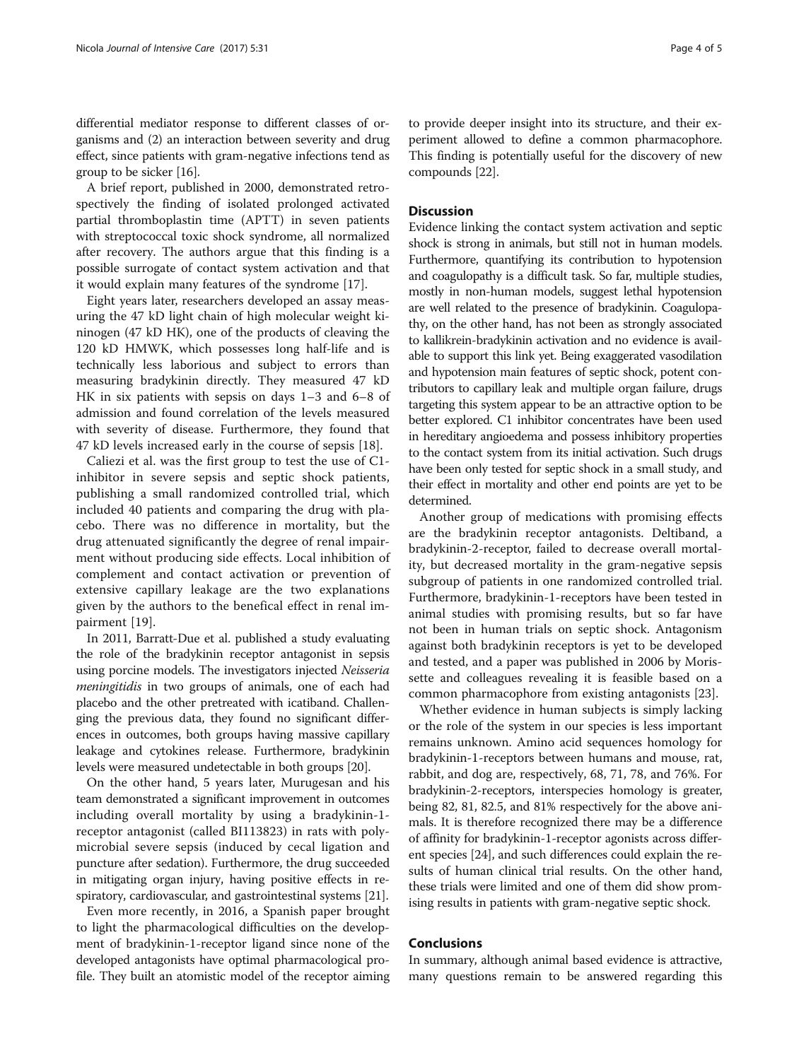differential mediator response to different classes of organisms and (2) an interaction between severity and drug effect, since patients with gram-negative infections tend as group to be sicker [\[16](#page-4-0)].

A brief report, published in 2000, demonstrated retrospectively the finding of isolated prolonged activated partial thromboplastin time (APTT) in seven patients with streptococcal toxic shock syndrome, all normalized after recovery. The authors argue that this finding is a possible surrogate of contact system activation and that it would explain many features of the syndrome [[17\]](#page-4-0).

Eight years later, researchers developed an assay measuring the 47 kD light chain of high molecular weight kininogen (47 kD HK), one of the products of cleaving the 120 kD HMWK, which possesses long half-life and is technically less laborious and subject to errors than measuring bradykinin directly. They measured 47 kD HK in six patients with sepsis on days 1–3 and 6–8 of admission and found correlation of the levels measured with severity of disease. Furthermore, they found that 47 kD levels increased early in the course of sepsis [\[18](#page-4-0)].

Caliezi et al. was the first group to test the use of C1 inhibitor in severe sepsis and septic shock patients, publishing a small randomized controlled trial, which included 40 patients and comparing the drug with placebo. There was no difference in mortality, but the drug attenuated significantly the degree of renal impairment without producing side effects. Local inhibition of complement and contact activation or prevention of extensive capillary leakage are the two explanations given by the authors to the benefical effect in renal impairment [[19\]](#page-4-0).

In 2011, Barratt-Due et al. published a study evaluating the role of the bradykinin receptor antagonist in sepsis using porcine models. The investigators injected Neisseria meningitidis in two groups of animals, one of each had placebo and the other pretreated with icatiband. Challenging the previous data, they found no significant differences in outcomes, both groups having massive capillary leakage and cytokines release. Furthermore, bradykinin levels were measured undetectable in both groups [[20](#page-4-0)].

On the other hand, 5 years later, Murugesan and his team demonstrated a significant improvement in outcomes including overall mortality by using a bradykinin-1 receptor antagonist (called BI113823) in rats with polymicrobial severe sepsis (induced by cecal ligation and puncture after sedation). Furthermore, the drug succeeded in mitigating organ injury, having positive effects in respiratory, cardiovascular, and gastrointestinal systems [[21](#page-4-0)].

Even more recently, in 2016, a Spanish paper brought to light the pharmacological difficulties on the development of bradykinin-1-receptor ligand since none of the developed antagonists have optimal pharmacological profile. They built an atomistic model of the receptor aiming

to provide deeper insight into its structure, and their experiment allowed to define a common pharmacophore. This finding is potentially useful for the discovery of new compounds [\[22\]](#page-4-0).

#### **Discussion**

Evidence linking the contact system activation and septic shock is strong in animals, but still not in human models. Furthermore, quantifying its contribution to hypotension and coagulopathy is a difficult task. So far, multiple studies, mostly in non-human models, suggest lethal hypotension are well related to the presence of bradykinin. Coagulopathy, on the other hand, has not been as strongly associated to kallikrein-bradykinin activation and no evidence is available to support this link yet. Being exaggerated vasodilation and hypotension main features of septic shock, potent contributors to capillary leak and multiple organ failure, drugs targeting this system appear to be an attractive option to be better explored. C1 inhibitor concentrates have been used in hereditary angioedema and possess inhibitory properties to the contact system from its initial activation. Such drugs have been only tested for septic shock in a small study, and their effect in mortality and other end points are yet to be determined.

Another group of medications with promising effects are the bradykinin receptor antagonists. Deltiband, a bradykinin-2-receptor, failed to decrease overall mortality, but decreased mortality in the gram-negative sepsis subgroup of patients in one randomized controlled trial. Furthermore, bradykinin-1-receptors have been tested in animal studies with promising results, but so far have not been in human trials on septic shock. Antagonism against both bradykinin receptors is yet to be developed and tested, and a paper was published in 2006 by Morissette and colleagues revealing it is feasible based on a common pharmacophore from existing antagonists [[23](#page-4-0)].

Whether evidence in human subjects is simply lacking or the role of the system in our species is less important remains unknown. Amino acid sequences homology for bradykinin-1-receptors between humans and mouse, rat, rabbit, and dog are, respectively, 68, 71, 78, and 76%. For bradykinin-2-receptors, interspecies homology is greater, being 82, 81, 82.5, and 81% respectively for the above animals. It is therefore recognized there may be a difference of affinity for bradykinin-1-receptor agonists across different species [\[24\]](#page-4-0), and such differences could explain the results of human clinical trial results. On the other hand, these trials were limited and one of them did show promising results in patients with gram-negative septic shock.

### Conclusions

In summary, although animal based evidence is attractive, many questions remain to be answered regarding this